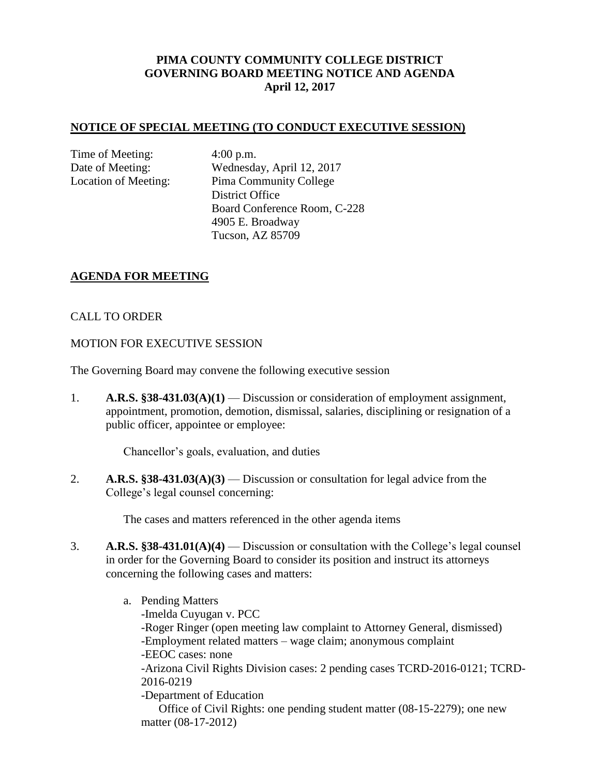# **PIMA COUNTY COMMUNITY COLLEGE DISTRICT GOVERNING BOARD MEETING NOTICE AND AGENDA April 12, 2017**

#### **NOTICE OF SPECIAL MEETING (TO CONDUCT EXECUTIVE SESSION)**

Time of Meeting: 4:00 p.m.

Date of Meeting: Wednesday, April 12, 2017 Location of Meeting: Pima Community College District Office Board Conference Room, C-228 4905 E. Broadway Tucson, AZ 85709

## **AGENDA FOR MEETING**

## CALL TO ORDER

#### MOTION FOR EXECUTIVE SESSION

The Governing Board may convene the following executive session

1. **A.R.S. §38-431.03(A)(1)** — Discussion or consideration of employment assignment, appointment, promotion, demotion, dismissal, salaries, disciplining or resignation of a public officer, appointee or employee:

Chancellor's goals, evaluation, and duties

2. **A.R.S. §38-431.03(A)(3)** — Discussion or consultation for legal advice from the College's legal counsel concerning:

The cases and matters referenced in the other agenda items

- 3. **A.R.S. §38-431.01(A)(4)** Discussion or consultation with the College's legal counsel in order for the Governing Board to consider its position and instruct its attorneys concerning the following cases and matters:
	- a. Pending Matters -Imelda Cuyugan v. PCC -Roger Ringer (open meeting law complaint to Attorney General, dismissed) -Employment related matters – wage claim; anonymous complaint -EEOC cases: none -Arizona Civil Rights Division cases: 2 pending cases TCRD-2016-0121; TCRD-2016-0219 -Department of Education Office of Civil Rights: one pending student matter (08-15-2279); one new matter (08-17-2012)